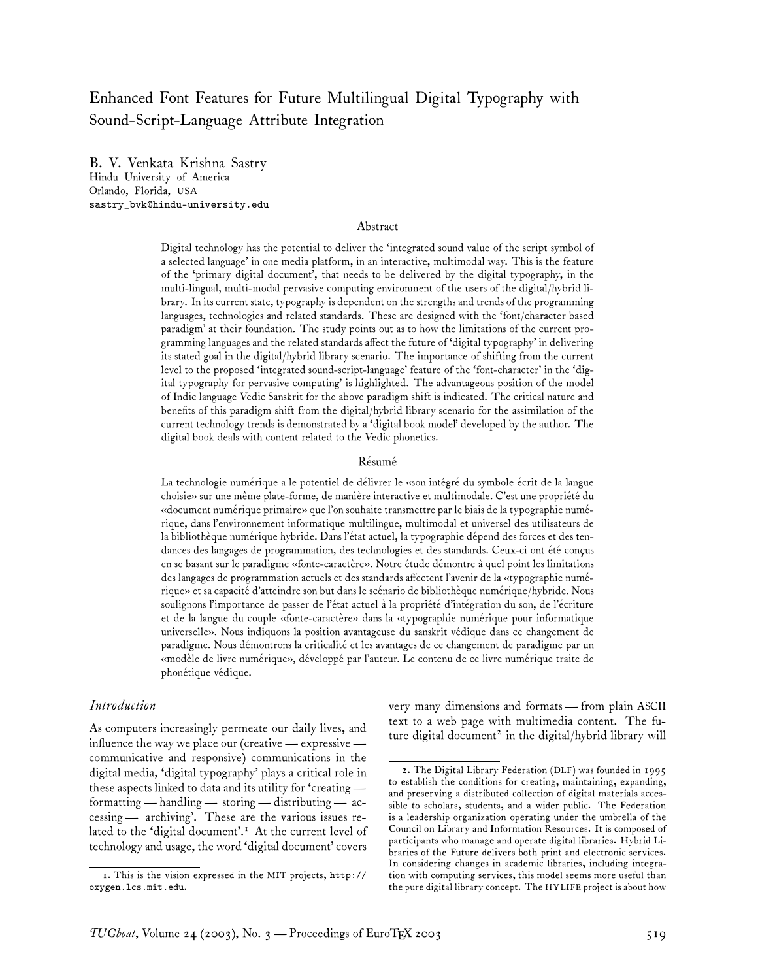# Enhanced Font Features for Future Multilingual Digital Typography with Sound-Script-Language Attribute Integration

B. V. Venkata Krishna Sastry Hindu University of America Orlando, Florida, USA sastry\_bvk@hindu-university.edu

#### Abstract

Digital technology has the potential to deliver the 'integrated sound value of the script symbol of a selected language' in one media platform, in an interactive, multimodal way. This is the feature of the 'primary digital document', that needs to be delivered by the digital typography, in the multi-lingual, multi-modal pervasive computing environment of the users of the digital/hybrid library. In its current state, typography is dependent on the strengths and trends of the programming languages, technologies and related standards. These are designed with the 'font/character based paradigm' at their foundation. The study points out as to how the limitations of the current programming languages and the related standards affect the future of 'digital typography' in delivering its stated goal in the digital/hybrid library scenario. The importance of shifting from the current level to the proposed 'integrated sound-script-language' feature of the 'font-character' in the 'digital typography for pervasive computing' is highlighted. The advantageous position of the model of Indic language Vedic Sanskrit for the above paradigm shift is indicated. The critical nature and benefits of this paradigm shift from the digital/hybrid library scenario for the assimilation of the current technology trends is demonstrated by a 'digital book model' developed by the author. The digital book deals with content related to the Vedic phonetics.

#### Résumé

La technologie numérique a le potentiel de délivrer le «son intégré du symbole écrit de la langue choisie» sur une même plate-forme, de manière interactive et multimodale. C'est une propriété du «document numérique primaire» que l'on souhaite transmettre par le biais de la typographie numérique, dans l'environnement informatique multilingue, multimodal et universel des utilisateurs de la bibliothèque numérique hybride. Dans l'état actuel, la typographie dépend des forces et des tendances des langages de programmation, des technologies et des standards. Ceux-ci ont été conçus en se basant sur le paradigme «fonte-caractère». Notre étude démontre à quel point les limitations des langages de programmation actuels et des standards affectent l'avenir de la «typographie numérique» et sa capacité d'atteindre son but dans le scénario de bibliothèque numérique/hybride. Nous soulignons l'importance de passer de l'état actuel à la propriété d'intégration du son, de l'écriture et de la langue du couple «fonte-caractère» dans la «typographie numérique pour informatique universelle». Nous indiquons la position avantageuse du sanskrit védique dans ce changement de paradigme. Nous démontrons la criticalité et les avantages de ce changement de paradigme par un «modèle de livre numérique», développé par l'auteur. Le contenu de ce livre numérique traite de phonétique védique.

#### *Introduction*

As computers increasingly permeate our daily lives, and influence the way we place our (creative— expressive communicative and responsive) communications in the digital media, 'digital typography' plays a critical role in these aspects linked to data and its utility for 'creating formatting — handling— storing — distributing— accessing— archiving'. These are the various issues related to the 'digital document'.<sup>1</sup> At the current level of technology and usage, the word 'digital document' covers very many dimensions and formats — from plain ASCII text to a web page with multimedia content. The future digital document<sup>2</sup> in the digital/hybrid library will

<sup>1.</sup> This is the vision expressed in the MIT projects, http:// oxygen.lcs.mit.edu.

<sup>2.</sup> The Digital Library Federation (DLF) was founded in 1995 to establish the conditions for creating, maintaining, expanding, and preserving a distributed collection of digital materials accessible to scholars, students, and a wider public. The Federation is a leadership organization operating under the umbrella of the Council on Library and Information Resources. It is composed of participants who manage and operate digital libraries. Hybrid Libraries of the Future delivers both print and electronic services. In considering changes in academic libraries, including integration with computing services, this model seems more useful than the pure digital library concept. The HYLIFE project is about how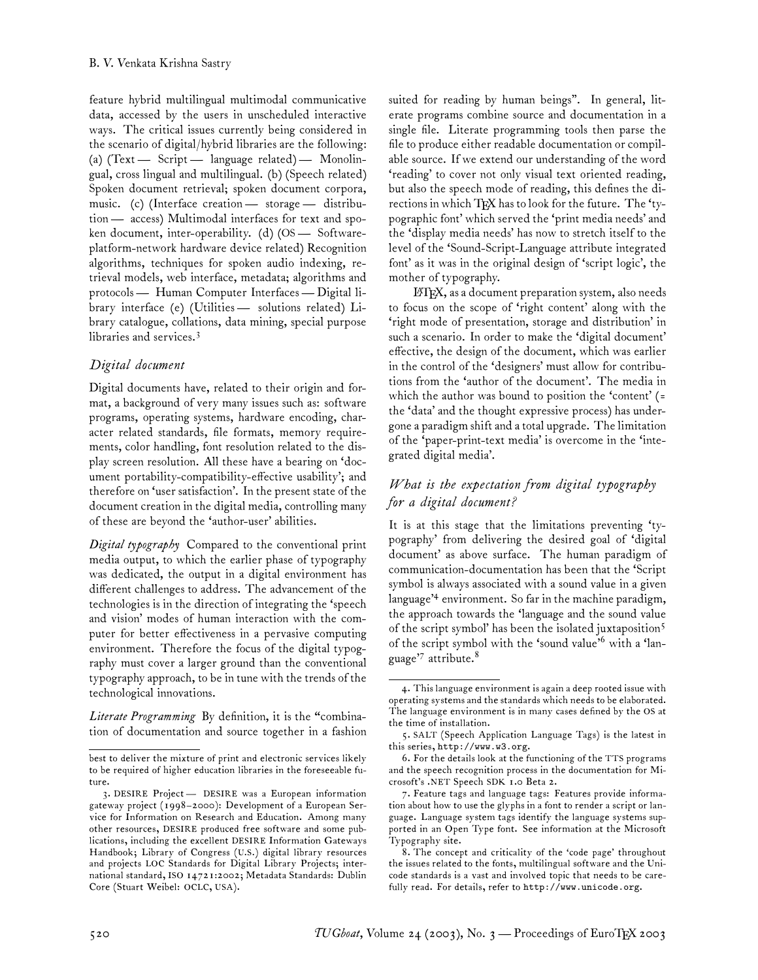feature hybrid multilingual multimodal communicative data, accessed by the users in unscheduled interactive ways. The critical issues currently being considered in the scenario of digital/hybrid libraries are the following: (a) (Text— Script — language related)— Monolingual, cross lingual and multilingual. (b) (Speech related) Spoken document retrieval; spoken document corpora, music. (c) (Interface creation— storage— distribution— access) Multimodal interfaces for text and spoken document, inter-operability. (d) (OS— Softwareplatform-network hardware device related) Recognition algorithms, techniques for spoken audio indexing, retrieval models, web interface, metadata; algorithms and protocols — Human Computer Interfaces — Digital library interface (e) (Utilities— solutions related) Library catalogue, collations, data mining, special purpose libraries and services.<sup>3</sup>

### *Digital document*

Digital documents have, related to their origin and format, a background of very many issues such as: software programs, operating systems, hardware encoding, character related standards, file formats, memory requirements, color handling, font resolution related to the display screen resolution. All these have a bearing on 'document portability-compatibility-effective usability'; and therefore on 'user satisfaction'. In the present state of the document creation in the digital media, controlling many of these are beyond the 'author-user' abilities.

*Digital typography* Compared to the conventional print media output, to which the earlier phase of typography was dedicated, the output in a digital environment has different challenges to address. The advancement of the technologies is in the direction of integrating the 'speech and vision' modes of human interaction with the computer for better effectiveness in a pervasive computing environment. Therefore the focus of the digital typography must cover a larger ground than the conventional typography approach, to be in tune with the trends of the technological innovations.

*Literate Programming* By definition, it is the "combination of documentation and source together in a fashion suited for reading by human beings". In general, literate programs combine source and documentation in a single file. Literate programming tools then parse the file to produce either readable documentation or compilable source. If we extend our understanding of the word 'reading' to cover not only visual text oriented reading, but also the speech mode of reading, this defines the directions in which TEX has to look for the future. The 'typographic font' which served the 'print media needs' and the 'display media needs' has now to stretch itself to the level of the 'Sound-Script-Language attribute integrated font' as it was in the original design of 'script logic', the mother of typography.

LATEX, as a document preparation system, also needs to focus on the scope of 'right content' along with the 'right mode of presentation, storage and distribution' in such a scenario. In order to make the 'digital document' effective, the design of the document, which was earlier in the control of the 'designers' must allow for contributions from the 'author of the document'. The media in which the author was bound to position the 'content' (= the 'data' and the thought expressive process) has undergone a paradigm shift and a total upgrade. The limitation of the 'paper-print-text media' is overcome in the 'integrated digital media'.

## *What is the expectation from digital typography for a digital document?*

It is at this stage that the limitations preventing 'typography' from delivering the desired goal of 'digital document' as above surface. The human paradigm of communication-documentation has been that the 'Script symbol is always associated with a sound value in a given language'<sup>4</sup> environment. So far in the machine paradigm, the approach towards the 'language and the sound value of the script symbol' has been the isolated juxtaposition<sup>5</sup> of the script symbol with the 'sound value'<sup>6</sup> with a 'language'<sup>7</sup> attribute.<sup>8</sup>

best to deliver the mixture of print and electronic services likely to be required of higher education libraries in the foreseeable future.

<sup>3.</sup> DESIRE Project— DESIRE was a European information gateway project (1998–2000): Development of a European Service for Information on Research and Education. Among many other resources, DESIRE produced free software and some publications, including the excellent DESIRE Information Gateways Handbook; Library of Congress (U.S.) digital library resources and projects LOC Standards for Digital Library Projects; international standard, ISO 14721:2002; Metadata Standards: Dublin Core (Stuart Weibel: OCLC, USA).

<sup>4.</sup> This language environment is again a deep rooted issue with operating systems and the standards which needs to be elaborated. The language environment is in many cases defined by the OS at the time of installation.

<sup>5.</sup> SALT (Speech Application Language Tags) is the latest in this series, http://www.w3.org.

<sup>6.</sup> For the details look at the functioning of the TTS programs and the speech recognition process in the documentation for Microsoft's .NET Speech SDK 1.0 Beta 2.

<sup>7.</sup> Feature tags and language tags: Features provide information about how to use the glyphs in a font to render a script or language. Language system tags identify the language systems supported in an Open Type font. See information at the Microsoft Typography site.

<sup>8.</sup> The concept and criticality of the 'code page' throughout the issues related to the fonts, multilingual software and the Unicode standards is a vast and involved topic that needs to be carefully read. For details, refer to http://www.unicode.org.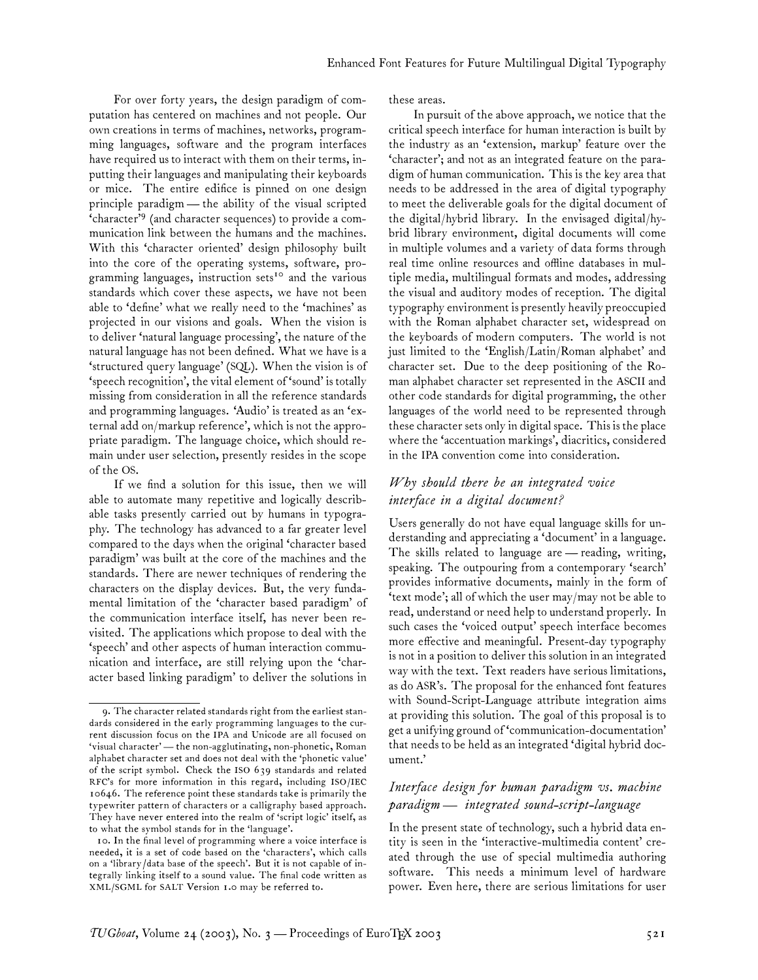For over forty years, the design paradigm of computation has centered on machines and not people. Our own creations in terms of machines, networks, programming languages, software and the program interfaces have required us to interact with them on their terms, inputting their languages and manipulating their keyboards or mice. The entire edifice is pinned on one design principle paradigm— the ability of the visual scripted 'character'<sup>9</sup> (and character sequences) to provide a communication link between the humans and the machines. With this 'character oriented' design philosophy built into the core of the operating systems, software, programming languages, instruction sets<sup>10</sup> and the various standards which cover these aspects, we have not been able to 'define' what we really need to the 'machines' as projected in our visions and goals. When the vision is to deliver 'natural language processing', the nature of the natural language has not been defined. What we have is a 'structured query language' (SQL). When the vision is of 'speech recognition', the vital element of 'sound' is totally missing from consideration in all the reference standards and programming languages. 'Audio' is treated as an 'external add on/markup reference', which is not the appropriate paradigm. The language choice, which should remain under user selection, presently resides in the scope of the OS.

If we find a solution for this issue, then we will able to automate many repetitive and logically describable tasks presently carried out by humans in typography. The technology has advanced to a far greater level compared to the days when the original 'character based paradigm' was built at the core of the machines and the standards. There are newer techniques of rendering the characters on the display devices. But, the very fundamental limitation of the 'character based paradigm' of the communication interface itself, has never been revisited. The applications which propose to deal with the 'speech' and other aspects of human interaction communication and interface, are still relying upon the 'character based linking paradigm' to deliver the solutions in these areas.

In pursuit of the above approach, we notice that the critical speech interface for human interaction is built by the industry as an 'extension, markup' feature over the 'character'; and not as an integrated feature on the paradigm of human communication. This is the key area that needs to be addressed in the area of digital typography to meet the deliverable goals for the digital document of the digital/hybrid library. In the envisaged digital/hybrid library environment, digital documents will come in multiple volumes and a variety of data forms through real time online resources and offline databases in multiple media, multilingual formats and modes, addressing the visual and auditory modes of reception. The digital typography environment is presently heavily preoccupied with the Roman alphabet character set, widespread on the keyboards of modern computers. The world is not just limited to the 'English/Latin/Roman alphabet' and character set. Due to the deep positioning of the Roman alphabet character set represented in the ASCII and other code standards for digital programming, the other languages of the world need to be represented through these character sets only in digital space. This is the place where the 'accentuation markings', diacritics, considered in the IPA convention come into consideration.

### *Why should there be an integrated voice interface in a digital document?*

Users generally do not have equal language skills for understanding and appreciating a 'document' in a language. The skills related to language are — reading, writing, speaking. The outpouring from a contemporary 'search' provides informative documents, mainly in the form of 'text mode'; all of which the user may/may not be able to read, understand or need help to understand properly. In such cases the 'voiced output' speech interface becomes more effective and meaningful. Present-day typography is not in a position to deliver this solution in an integrated way with the text. Text readers have serious limitations, as do ASR's. The proposal for the enhanced font features with Sound-Script-Language attribute integration aims at providing this solution. The goal of this proposal is to get a unifying ground of 'communication-documentation' that needs to be held as an integrated 'digital hybrid document.'

## *Interface design for human paradigm vs. machine paradigm — integrated sound-script-language*

In the present state of technology, such a hybrid data entity is seen in the 'interactive-multimedia content' created through the use of special multimedia authoring software. This needs a minimum level of hardware power. Even here, there are serious limitations for user

<sup>9.</sup> The character related standards right from the earliest standards considered in the early programming languages to the current discussion focus on the IPA and Unicode are all focused on 'visual character'— the non-agglutinating, non-phonetic, Roman alphabet character set and does not deal with the 'phonetic value' of the script symbol. Check the ISO 639 standards and related RFC's for more information in this regard, including ISO/IEC 10646. The reference point these standards take is primarily the typewriter pattern of characters or a calligraphy based approach. They have never entered into the realm of 'script logic' itself, as to what the symbol stands for in the 'language'.

<sup>10.</sup> In the final level of programming where a voice interface is needed, it is a set of code based on the 'characters', which calls on a 'library/data base of the speech'. But it is not capable of integrally linking itself to a sound value. The final code written as XML/SGML for SALT Version 1.0 may be referred to.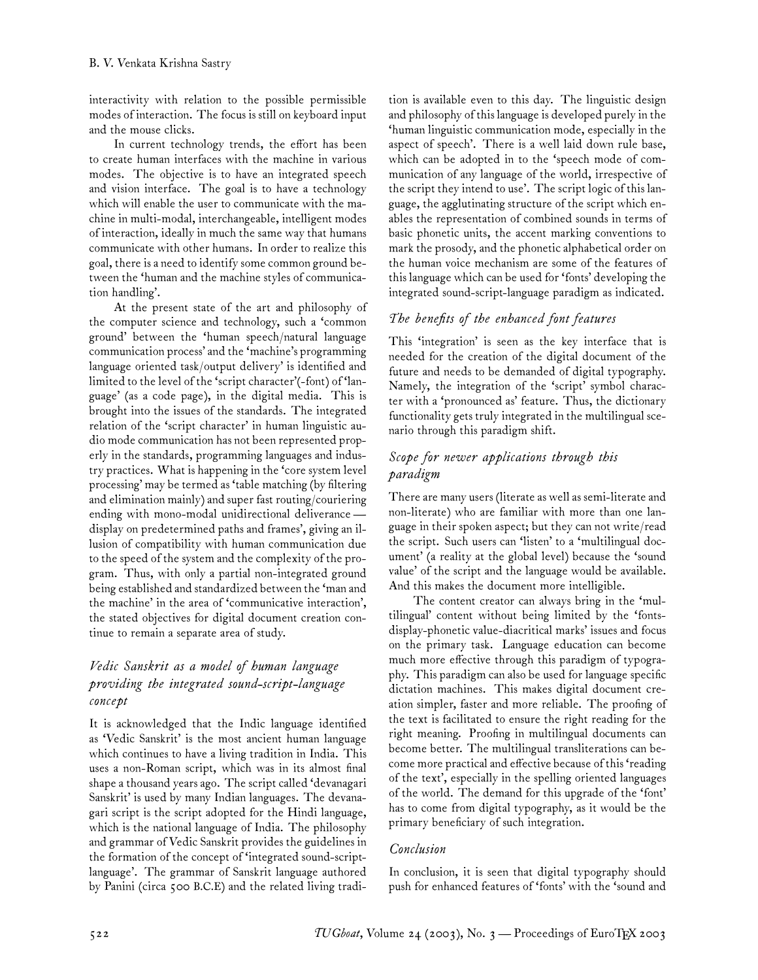interactivity with relation to the possible permissible modes of interaction. The focus is still on keyboard input and the mouse clicks.

In current technology trends, the effort has been to create human interfaces with the machine in various modes. The objective is to have an integrated speech and vision interface. The goal is to have a technology which will enable the user to communicate with the machine in multi-modal, interchangeable, intelligent modes of interaction, ideally in much the same way that humans communicate with other humans. In order to realize this goal, there is a need to identify some common ground between the 'human and the machine styles of communication handling'.

At the present state of the art and philosophy of the computer science and technology, such a 'common ground' between the 'human speech/natural language communication process' and the 'machine's programming language oriented task/output delivery' is identified and limited to the level of the 'script character'(-font) of 'language' (as a code page), in the digital media. This is brought into the issues of the standards. The integrated relation of the 'script character' in human linguistic audio mode communication has not been represented properly in the standards, programming languages and industry practices. What is happening in the 'core system level processing' may be termed as 'table matching (by filtering and elimination mainly) and super fast routing/couriering ending with mono-modal unidirectional deliverance display on predetermined paths and frames', giving an illusion of compatibility with human communication due to the speed of the system and the complexity of the program. Thus, with only a partial non-integrated ground being established and standardized between the 'man and the machine' in the area of 'communicative interaction', the stated objectives for digital document creation continue to remain a separate area of study.

## *Vedic Sanskrit as a model of human language providing the integrated sound-script-language concept*

It is acknowledged that the Indic language identified as 'Vedic Sanskrit' is the most ancient human language which continues to have a living tradition in India. This uses a non-Roman script, which was in its almost final shape a thousand years ago. The script called 'devanagari Sanskrit' is used by many Indian languages. The devanagari script is the script adopted for the Hindi language, which is the national language of India. The philosophy and grammar of Vedic Sanskrit provides the guidelines in the formation of the concept of 'integrated sound-scriptlanguage'. The grammar of Sanskrit language authored by Panini (circa 500 B.C.E) and the related living tradition is available even to this day. The linguistic design and philosophy of this language is developed purely in the 'human linguistic communication mode, especially in the aspect of speech'. There is a well laid down rule base, which can be adopted in to the 'speech mode of communication of any language of the world, irrespective of the script they intend to use'. The script logic of this language, the agglutinating structure of the script which enables the representation of combined sounds in terms of basic phonetic units, the accent marking conventions to mark the prosody, and the phonetic alphabetical order on the human voice mechanism are some of the features of this language which can be used for 'fonts' developing the integrated sound-script-language paradigm as indicated.

## *The benefits of the enhanced font features*

This 'integration' is seen as the key interface that is needed for the creation of the digital document of the future and needs to be demanded of digital typography. Namely, the integration of the 'script' symbol character with a 'pronounced as' feature. Thus, the dictionary functionality gets truly integrated in the multilingual scenario through this paradigm shift.

## *Scope for newer applications through this paradigm*

There are many users (literate as well as semi-literate and non-literate) who are familiar with more than one language in their spoken aspect; but they can not write/read the script. Such users can 'listen' to a 'multilingual document' (a reality at the global level) because the 'sound value' of the script and the language would be available. And this makes the document more intelligible.

The content creator can always bring in the 'multilingual' content without being limited by the 'fontsdisplay-phonetic value-diacritical marks' issues and focus on the primary task. Language education can become much more effective through this paradigm of typography. This paradigm can also be used for language specific dictation machines. This makes digital document creation simpler, faster and more reliable. The proofing of the text is facilitated to ensure the right reading for the right meaning. Proofing in multilingual documents can become better. The multilingual transliterations can become more practical and effective because of this 'reading of the text', especially in the spelling oriented languages of the world. The demand for this upgrade of the 'font' has to come from digital typography, as it would be the primary beneficiary of such integration.

## *Conclusion*

In conclusion, it is seen that digital typography should push for enhanced features of 'fonts' with the 'sound and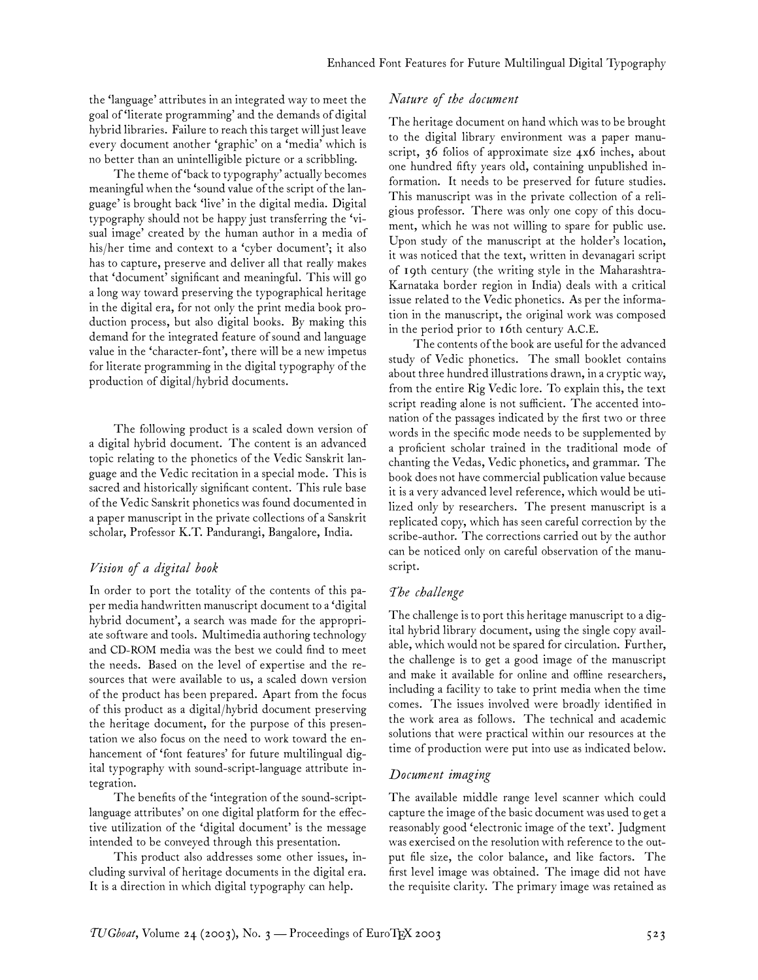the 'language' attributes in an integrated way to meet the goal of 'literate programming' and the demands of digital hybrid libraries. Failure to reach this target will just leave every document another 'graphic' on a 'media' which is no better than an unintelligible picture or a scribbling.

The theme of 'back to typography' actually becomes meaningful when the 'sound value of the script of the language' is brought back 'live' in the digital media. Digital typography should not be happy just transferring the 'visual image' created by the human author in a media of his/her time and context to a 'cyber document'; it also has to capture, preserve and deliver all that really makes that 'document' significant and meaningful. This will go a long way toward preserving the typographical heritage in the digital era, for not only the print media book production process, but also digital books. By making this demand for the integrated feature of sound and language value in the 'character-font', there will be a new impetus for literate programming in the digital typography of the production of digital/hybrid documents.

The following product is a scaled down version of a digital hybrid document. The content is an advanced topic relating to the phonetics of the Vedic Sanskrit language and the Vedic recitation in a special mode. This is sacred and historically significant content. This rule base of the Vedic Sanskrit phonetics was found documented in a paper manuscript in the private collections of a Sanskrit scholar, Professor K.T. Pandurangi, Bangalore, India.

#### *Vision of a digital book*

In order to port the totality of the contents of this paper media handwritten manuscript document to a 'digital hybrid document', a search was made for the appropriate software and tools. Multimedia authoring technology and CD-ROM media was the best we could find to meet the needs. Based on the level of expertise and the resources that were available to us, a scaled down version of the product has been prepared. Apart from the focus of this product as a digital/hybrid document preserving the heritage document, for the purpose of this presentation we also focus on the need to work toward the enhancement of 'font features' for future multilingual digital typography with sound-script-language attribute integration.

The benefits of the 'integration of the sound-scriptlanguage attributes' on one digital platform for the effective utilization of the 'digital document' is the message intended to be conveyed through this presentation.

This product also addresses some other issues, including survival of heritage documents in the digital era. It is a direction in which digital typography can help.

#### *Nature of the document*

The heritage document on hand which was to be brought to the digital library environment was a paper manuscript, 36 folios of approximate size 4x6 inches, about one hundred fifty years old, containing unpublished information. It needs to be preserved for future studies. This manuscript was in the private collection of a religious professor. There was only one copy of this document, which he was not willing to spare for public use. Upon study of the manuscript at the holder's location, it was noticed that the text, written in devanagari script of 19th century (the writing style in the Maharashtra-Karnataka border region in India) deals with a critical issue related to the Vedic phonetics. As per the information in the manuscript, the original work was composed in the period prior to 16th century A.C.E.

The contents of the book are useful for the advanced study of Vedic phonetics. The small booklet contains about three hundred illustrations drawn, in a cryptic way, from the entire Rig Vedic lore. To explain this, the text script reading alone is not sufficient. The accented intonation of the passages indicated by the first two or three words in the specific mode needs to be supplemented by a proficient scholar trained in the traditional mode of chanting the Vedas, Vedic phonetics, and grammar. The book does not have commercial publication value because it is a very advanced level reference, which would be utilized only by researchers. The present manuscript is a replicated copy, which has seen careful correction by the scribe-author. The corrections carried out by the author can be noticed only on careful observation of the manuscript.

#### *The challenge*

The challenge is to port this heritage manuscript to a digital hybrid library document, using the single copy available, which would not be spared for circulation. Further, the challenge is to get a good image of the manuscript and make it available for online and offline researchers, including a facility to take to print media when the time comes. The issues involved were broadly identified in the work area as follows. The technical and academic solutions that were practical within our resources at the time of production were put into use as indicated below.

#### *Document imaging*

The available middle range level scanner which could capture the image of the basic document was used to get a reasonably good 'electronic image of the text'. Judgment was exercised on the resolution with reference to the output file size, the color balance, and like factors. The first level image was obtained. The image did not have the requisite clarity. The primary image was retained as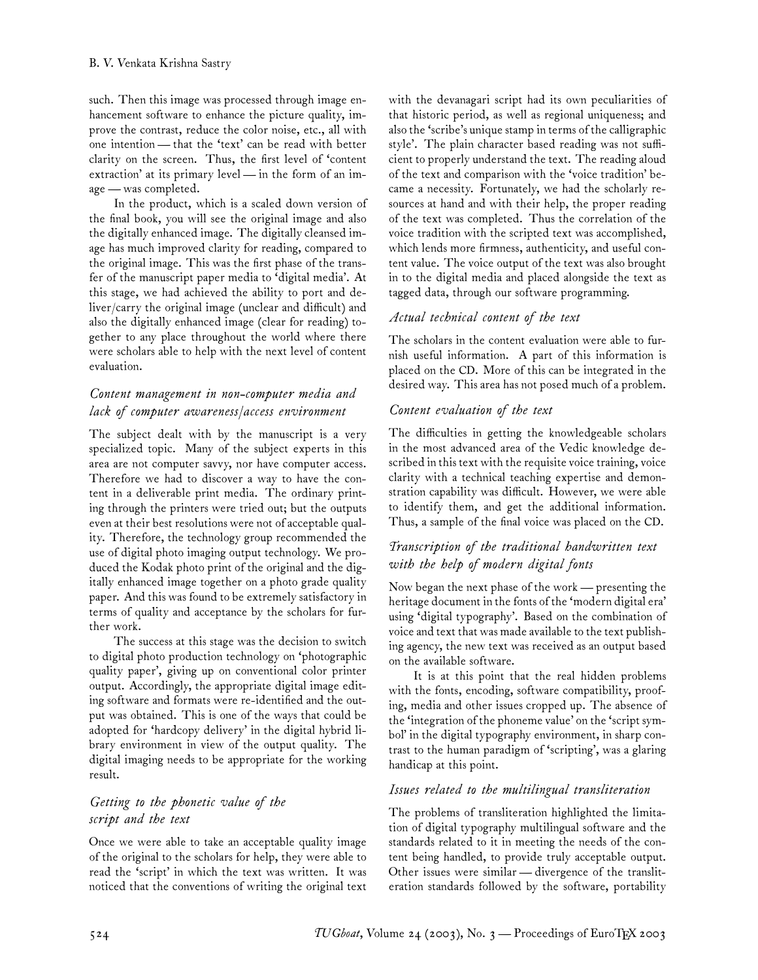such. Then this image was processed through image enhancement software to enhance the picture quality, improve the contrast, reduce the color noise, etc., all with one intention— that the 'text' can be read with better clarity on the screen. Thus, the first level of 'content extraction' at its primary level— in the form of an image— was completed.

In the product, which is a scaled down version of the final book, you will see the original image and also the digitally enhanced image. The digitally cleansed image has much improved clarity for reading, compared to the original image. This was the first phase of the transfer of the manuscript paper media to 'digital media'. At this stage, we had achieved the ability to port and deliver/carry the original image (unclear and difficult) and also the digitally enhanced image (clear for reading) together to any place throughout the world where there were scholars able to help with the next level of content evaluation.

# *Content management in non-computer media and lack of computer awareness/access environment*

The subject dealt with by the manuscript is a very specialized topic. Many of the subject experts in this area are not computer savvy, nor have computer access. Therefore we had to discover a way to have the content in a deliverable print media. The ordinary printing through the printers were tried out; but the outputs even at their best resolutions were not of acceptable quality. Therefore, the technology group recommended the use of digital photo imaging output technology. We produced the Kodak photo print of the original and the digitally enhanced image together on a photo grade quality paper. And this was found to be extremely satisfactory in terms of quality and acceptance by the scholars for further work.

The success at this stage was the decision to switch to digital photo production technology on 'photographic quality paper', giving up on conventional color printer output. Accordingly, the appropriate digital image editing software and formats were re-identified and the output was obtained. This is one of the ways that could be adopted for 'hardcopy delivery' in the digital hybrid library environment in view of the output quality. The digital imaging needs to be appropriate for the working result.

## *Getting to the phonetic value of the script and the text*

Once we were able to take an acceptable quality image of the original to the scholars for help, they were able to read the 'script' in which the text was written. It was noticed that the conventions of writing the original text with the devanagari script had its own peculiarities of that historic period, as well as regional uniqueness; and also the 'scribe's unique stamp in terms of the calligraphic style'. The plain character based reading was not sufficient to properly understand the text. The reading aloud of the text and comparison with the 'voice tradition' became a necessity. Fortunately, we had the scholarly resources at hand and with their help, the proper reading of the text was completed. Thus the correlation of the voice tradition with the scripted text was accomplished, which lends more firmness, authenticity, and useful content value. The voice output of the text was also brought in to the digital media and placed alongside the text as tagged data, through our software programming.

## *Actual technical content of the text*

The scholars in the content evaluation were able to furnish useful information. A part of this information is placed on the CD. More of this can be integrated in the desired way. This area has not posed much of a problem.

### *Content evaluation of the text*

The difficulties in getting the knowledgeable scholars in the most advanced area of the Vedic knowledge described in this text with the requisite voice training, voice clarity with a technical teaching expertise and demonstration capability was difficult. However, we were able to identify them, and get the additional information. Thus, a sample of the final voice was placed on the CD.

## *Transcription of the traditional handwritten text with the help of modern digital fonts*

Now began the next phase of the work— presenting the heritage document in the fonts of the 'modern digital era' using 'digital typography'. Based on the combination of voice and text that was made available to the text publishing agency, the new text was received as an output based on the available software.

It is at this point that the real hidden problems with the fonts, encoding, software compatibility, proofing, media and other issues cropped up. The absence of the 'integration of the phoneme value' on the 'script symbol' in the digital typography environment, in sharp contrast to the human paradigm of 'scripting', was a glaring handicap at this point.

## *Issues related to the multilingual transliteration*

The problems of transliteration highlighted the limitation of digital typography multilingual software and the standards related to it in meeting the needs of the content being handled, to provide truly acceptable output. Other issues were similar — divergence of the transliteration standards followed by the software, portability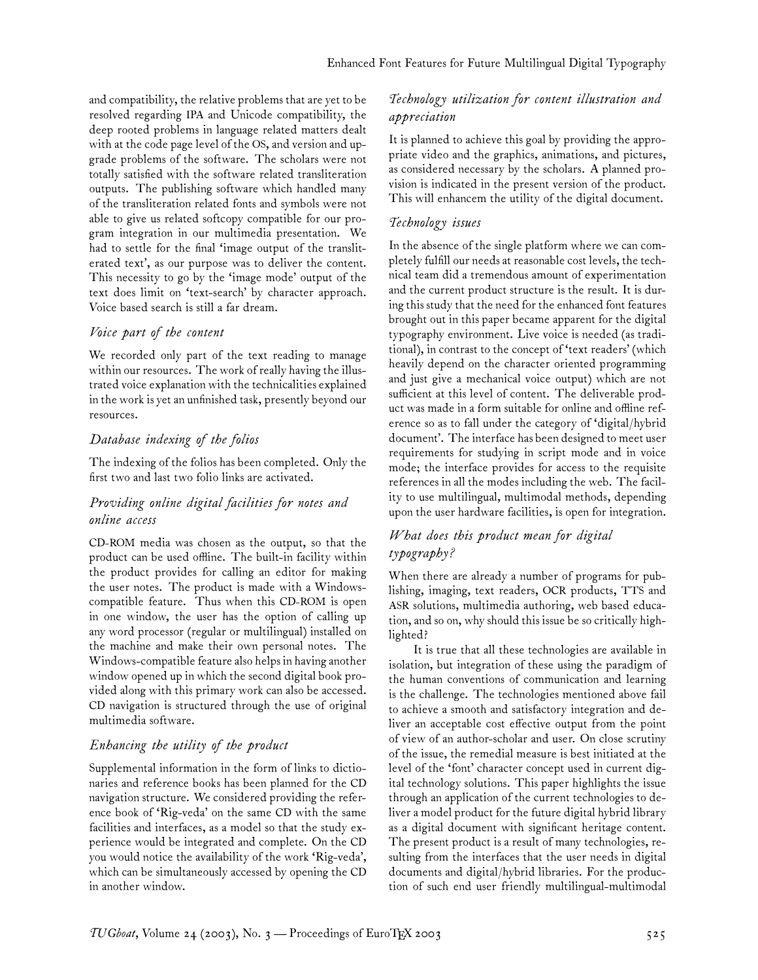and compatibility, the relative problems that are yet to be resolved regarding IPA and Unicode compatibility, the deep rooted problems in language related matters dealt with at the code page level of the OS, and version and upgrade problems of the software. The scholars were not totally satisfied with the software related transliteration outputs. The publishing software which handled many of the transliteration related fonts and symbols were not able to give us related softcopy compatible for our program integration in our multimedia presentation. We had to settle for the final 'image output of the transliterated text', as our purpose was to deliver the content. This necessity to go by the 'image mode' output of the text does limit on 'text-search' by character approach. Voice based search is still a far dream.

#### *Voice part of the content*

We recorded only part of the text reading to manage within our resources. The work of really having the illustrated voice explanation with the technicalities explained in the work is yet an unfinished task, presently beyond our resources.

## *Database indexing of the folios*

The indexing of the folios has been completed. Only the first two and last two folio links are activated.

## *Providing online digital facilities for notes and online access*

CD-ROM media was chosen as the output, so that the product can be used offline. The built-in facility within the product provides for calling an editor for making the user notes. The product is made with a Windowscompatible feature. Thus when this CD-ROM is open in one window, the user has the option of calling up any word processor (regular or multilingual) installed on the machine and make their own personal notes. The Windows-compatible feature also helps in having another window opened up in which the second digital book provided along with this primary work can also be accessed. CD navigation is structured through the use of original multimedia software.

## *Enhancing the utility of the product*

Supplemental information in the form of links to dictionaries and reference books has been planned for the CD navigation structure. We considered providing the reference book of 'Rig-veda' on the same CD with the same facilities and interfaces, as a model so that the study experience would be integrated and complete. On the CD you would notice the availability of the work 'Rig-veda', which can be simultaneously accessed by opening the CD in another window.

## *Technology utilization for content illustration and appreciation*

It is planned to achieve this goal by providing the appropriate video and the graphics, animations, and pictures, as considered necessary by the scholars. A planned provision is indicated in the present version of the product. This will enhancem the utility of the digital document.

## *Technology issues*

In the absence of the single platform where we can completely fulfill our needs at reasonable cost levels, the technical team did a tremendous amount of experimentation and the current product structure is the result. It is during this study that the need for the enhanced font features brought out in this paper became apparent for the digital typography environment. Live voice is needed (as traditional), in contrast to the concept of 'text readers' (which heavily depend on the character oriented programming and just give a mechanical voice output) which are not sufficient at this level of content. The deliverable product was made in a form suitable for online and offline reference so as to fall under the category of 'digital/hybrid document'. The interface has been designed to meet user requirements for studying in script mode and in voice mode; the interface provides for access to the requisite references in all the modes including the web. The facility to use multilingual, multimodal methods, depending upon the user hardware facilities, is open for integration.

## *What does this product mean for digital typography?*

When there are already a number of programs for publishing, imaging, text readers, OCR products, TTS and ASR solutions, multimedia authoring, web based education, and so on, why should this issue be so critically highlighted?

It is true that all these technologies are available in isolation, but integration of these using the paradigm of the human conventions of communication and learning is the challenge. The technologies mentioned above fail to achieve a smooth and satisfactory integration and deliver an acceptable cost effective output from the point of view of an author-scholar and user. On close scrutiny of the issue, the remedial measure is best initiated at the level of the 'font' character concept used in current digital technology solutions. This paper highlights the issue through an application of the current technologies to deliver a model product for the future digital hybrid library as a digital document with significant heritage content. The present product is a result of many technologies, resulting from the interfaces that the user needs in digital documents and digital/hybrid libraries. For the production of such end user friendly multilingual-multimodal